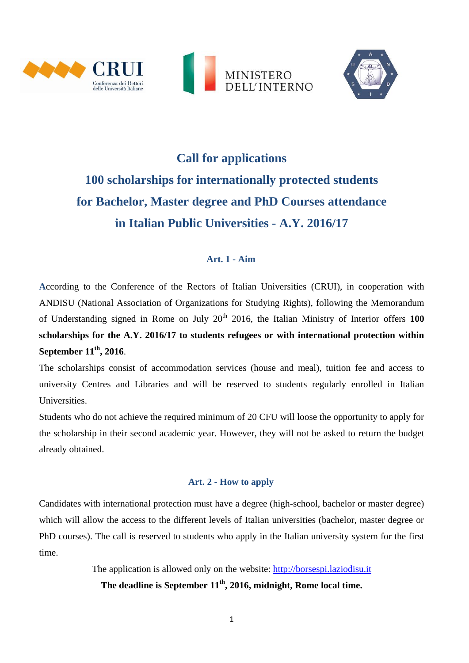





# **Call for applications 100 scholarships for internationally protected students for Bachelor, Master degree and PhD Courses attendance in Italian Public Universities - A.Y. 2016/17**

### **Art. 1 - Aim**

**A**ccording to the Conference of the Rectors of Italian Universities (CRUI), in cooperation with ANDISU (National Association of Organizations for Studying Rights), following the Memorandum of Understanding signed in Rome on July 20<sup>th</sup> 2016, the Italian Ministry of Interior offers 100 **scholarships for the A.Y. 2016/17 to students refugees or with international protection within September 11th , 2016**.

The scholarships consist of accommodation services (house and meal), tuition fee and access to university Centres and Libraries and will be reserved to students regularly enrolled in Italian Universities.

Students who do not achieve the required minimum of 20 CFU will loose the opportunity to apply for the scholarship in their second academic year. However, they will not be asked to return the budget already obtained.

#### **Art. 2 - How to apply**

Candidates with international protection must have a degree (high-school, bachelor or master degree) which will allow the access to the different levels of Italian universities (bachelor, master degree or PhD courses). The call is reserved to students who apply in the Italian university system for the first time.

> The application is allowed only on the website: [http://borsespi.laziodisu.it](http://borsespi.laziodisu.it/) **The deadline is September 11th , 2016, midnight, Rome local time.**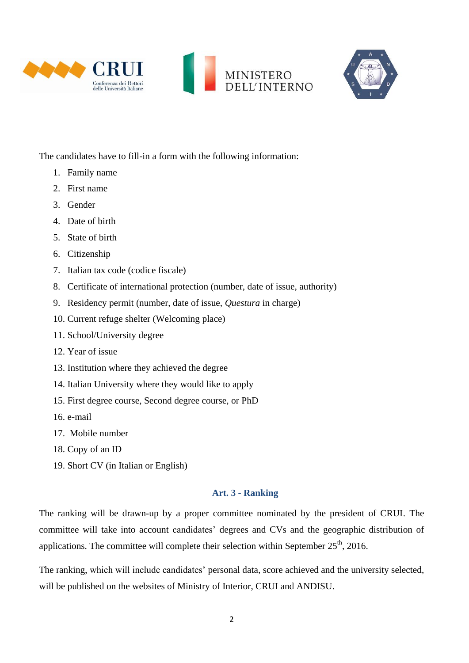





The candidates have to fill-in a form with the following information:

- 1. Family name
- 2. First name
- 3. Gender
- 4. Date of birth
- 5. State of birth
- 6. Citizenship
- 7. Italian tax code (codice fiscale)
- 8. Certificate of international protection (number, date of issue, authority)
- 9. Residency permit (number, date of issue, *Questura* in charge)
- 10. Current refuge shelter (Welcoming place)
- 11. School/University degree
- 12. Year of issue
- 13. Institution where they achieved the degree
- 14. Italian University where they would like to apply
- 15. First degree course, Second degree course, or PhD
- 16. e-mail
- 17. Mobile number
- 18. Copy of an ID
- 19. Short CV (in Italian or English)

### **Art. 3 - Ranking**

The ranking will be drawn-up by a proper committee nominated by the president of CRUI. The committee will take into account candidates' degrees and CVs and the geographic distribution of applications. The committee will complete their selection within September  $25<sup>th</sup>$ , 2016.

The ranking, which will include candidates' personal data, score achieved and the university selected, will be published on the websites of Ministry of Interior, CRUI and ANDISU.